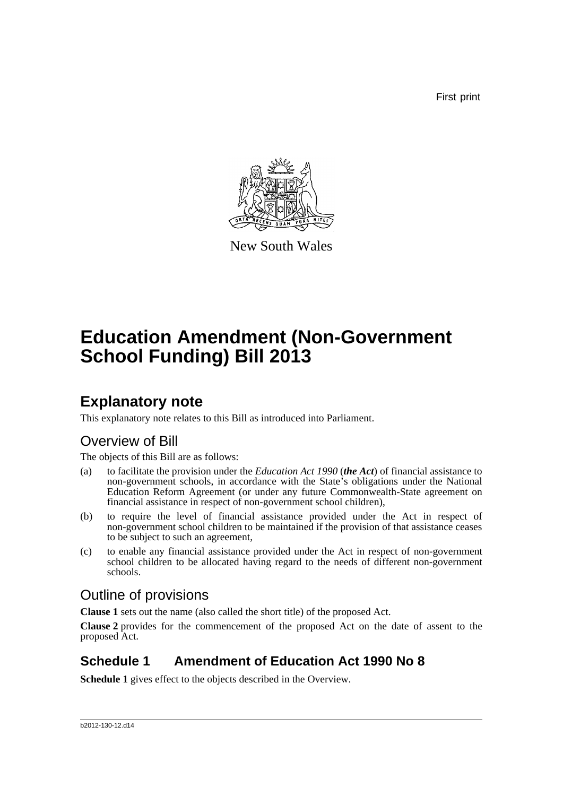First print



New South Wales

# **Education Amendment (Non-Government School Funding) Bill 2013**

## **Explanatory note**

This explanatory note relates to this Bill as introduced into Parliament.

### Overview of Bill

The objects of this Bill are as follows:

- (a) to facilitate the provision under the *Education Act 1990* (*the Act*) of financial assistance to non-government schools, in accordance with the State's obligations under the National Education Reform Agreement (or under any future Commonwealth-State agreement on financial assistance in respect of non-government school children),
- (b) to require the level of financial assistance provided under the Act in respect of non-government school children to be maintained if the provision of that assistance ceases to be subject to such an agreement,
- (c) to enable any financial assistance provided under the Act in respect of non-government school children to be allocated having regard to the needs of different non-government schools.

### Outline of provisions

**Clause 1** sets out the name (also called the short title) of the proposed Act.

**Clause 2** provides for the commencement of the proposed Act on the date of assent to the proposed Act.

### **Schedule 1 Amendment of Education Act 1990 No 8**

**Schedule 1** gives effect to the objects described in the Overview.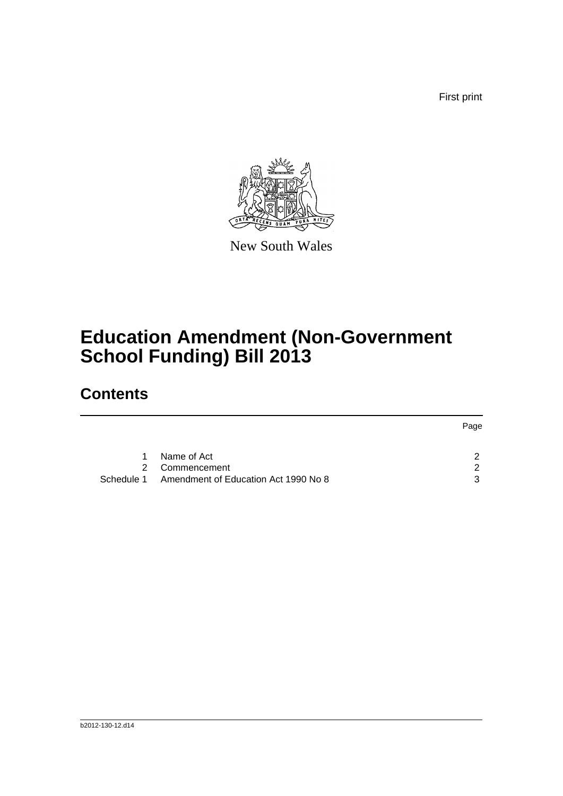First print



New South Wales

# **Education Amendment (Non-Government School Funding) Bill 2013**

## **Contents**

|   |                                                 | Page |
|---|-------------------------------------------------|------|
| 1 | Name of Act                                     | ົ    |
|   | 2 Commencement                                  | ົ    |
|   | Schedule 1 Amendment of Education Act 1990 No 8 | 3    |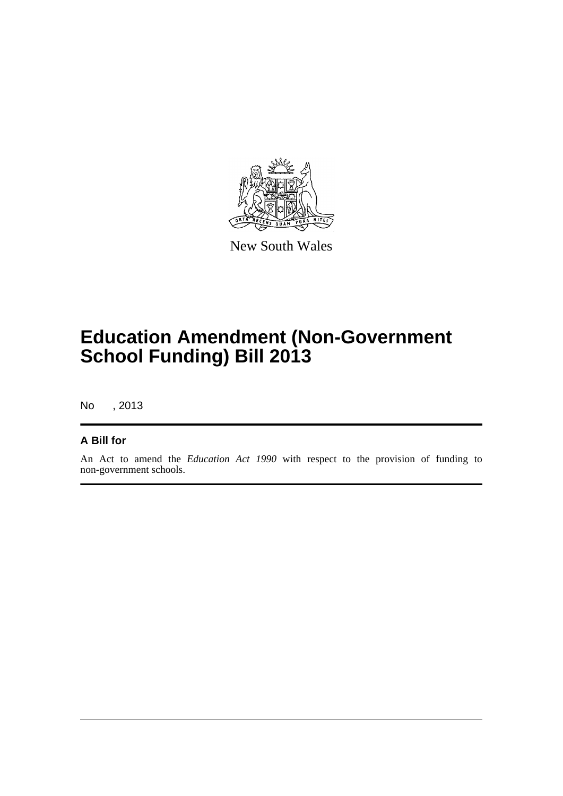

New South Wales

## **Education Amendment (Non-Government School Funding) Bill 2013**

No , 2013

#### **A Bill for**

An Act to amend the *Education Act 1990* with respect to the provision of funding to non-government schools.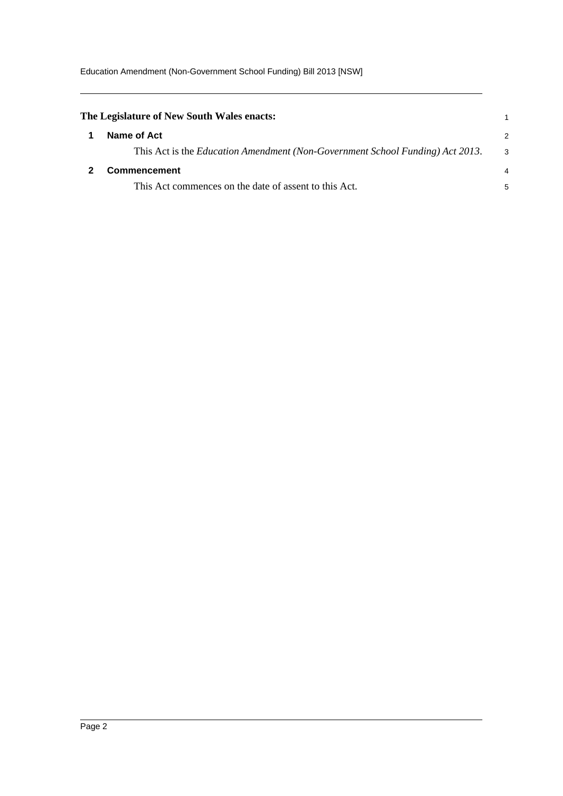<span id="page-3-1"></span><span id="page-3-0"></span>

| The Legislature of New South Wales enacts:                                    |    |
|-------------------------------------------------------------------------------|----|
| Name of Act                                                                   | 2  |
| This Act is the Education Amendment (Non-Government School Funding) Act 2013. | -3 |
| <b>Commencement</b>                                                           | 4  |
| This Act commences on the date of assent to this Act.                         | 5  |